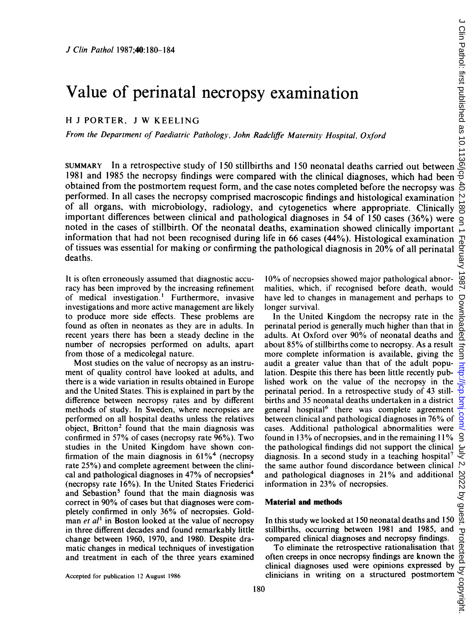# Value of perinatal necropsy examination

H <sup>J</sup> PORTER, <sup>J</sup> W KEELING

From the Department of Paediatric Pathology, John Radcliffe Maternity Hospital, Oxford

SUMMARY In a retrospective study of 150 stillbirths and 150 neonatal deaths carried out between 1981 and 1985 the necropsy findings were compared with the clinical diagnoses, which had been obtained from the postmortem request form, and the case notes completed before the necropsy was performed. In all cases the necropsy comprised macroscopic findings and histological examination of all organs, with microbiology, radiology, and cytogenetics where appropriate. Clinically important differences between clinical and pathological diagnoses in 54 of 150 cases (36%) were noted in the cases of stillbirth. Of the neonatal deaths, examination showed clinically important information that had not been recognised during life in 66 cases (44%). Histological examination of tissues was essential for making or confirming the pathological diagnosis in  $20\%$  of all perinatal deaths.

It is often erroneously assumed that diagnostic accuracy has been improved by the increasing refinement of medical investigation.' Furthermore, invasive investigations and more active management are likely to produce more side effects. These problems are found as often in neonates as they are in adults. In recent years there has been a steady decline in the number of necropsies performed on adults, apart from those of a medicolegal nature.

Most studies on the value of necropsy as an instrument of quality control have looked at adults, and there is a wide variation in results obtained in Europe and the United States. This is explained in part by the difference between necropsy rates and by different methods of study. In Sweden, where necropsies are performed on all hospital deaths unless the relatives object, Britton<sup>2</sup> found that the main diagnosis was confirmed in 57% of cases (necropsy rate 96%). Two studies in the United Kingdom have shown confirmation of the main diagnosis in  $61\%$ <sup>4</sup> (necropsy rate 25%) and complete agreement between the clinical and pathological diagnoses in  $47\%$  of necropsies<sup>4</sup> (necropsy rate 16%). In the United States Friederici and Sebastion<sup>5</sup> found that the main diagnosis was correct in 90% of cases but that diagnoses were completely confirmed in only 36% of necropsies. Goldman  $et$   $al<sup>1</sup>$  in Boston looked at the value of necropsy in three different decades and found remarkably little change between 1960, 1970, and 1980. Despite dramatic changes in medical techniques of investigation and treatment in each of the three years examined

Accepted for publication 12 August 1986

10% of necropsies showed major pathological abnormalities, which, if recognised before death, would have led to changes in management and perhaps to longer survival.

In the United Kingdom the necropsy rate in the perinatal period is generally much higher than that in adults. At Oxford over 90% of neonatal deaths and about 85% of stillbirths come to necropsy. As a result more complete information is available, giving the audit a greater value than that of the adult population. Despite this there has been little recently published work on the value of the necropsy in the perinatal period. In a retrospective study of 43 stillbirths and 35 neonatal deaths undertaken in a district general hospital<sup>6</sup> there was complete agreement between clinical and pathological diagnoses in 76% of cases. Additional pathological abnormalities were found in 13% of necropsies, and in the remaining  $11\%$ the pathological findings did not support the clinical diagnosis. In a second study in a teaching hospital<sup>7</sup> the same author found discordance between clinical  $\frac{1}{2}$ <br>and pathological diagnoses in 21% and additional information in 23% of necropsies.<br>**Material and methods**<br>In this study we looked at 150 neonatal deaths and 150 and pathological diagnoses in 21% and additional information in 23% of necropsies.

#### Material and methods

In this study we looked at 150 neonatal deaths and 150 stillbirths, occurring between 1981 and 1985, and compared clinical diagnoses and necropsy findings.

To eliminate the retrospective rationalisation that often creeps in once necropsy findings are known the clinical diagnoses used were opinions expressed by  $\frac{d}{d}$ <br>clinicians in writing on a structured postmortem  $\frac{d}{d}$ clinicians in writing on a structured postmortem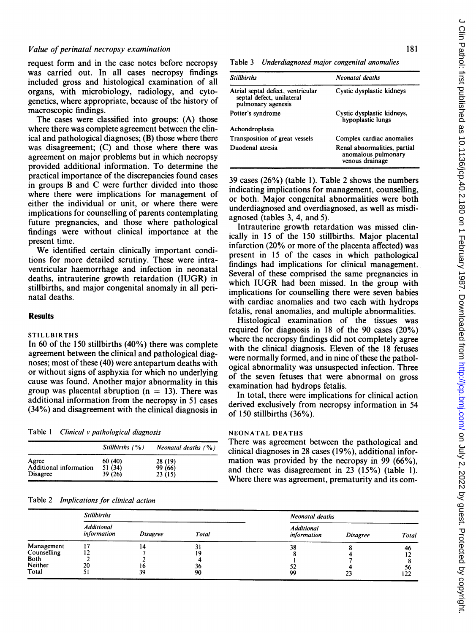## Value of perinatal necropsy examination

request form and in the case notes before necropsy was carried out. In all cases necropsy findings included gross and histological examination of all organs, with microbiology, radiology, and cytogenetics, where appropriate, because of the history of macroscopic findings.

The cases were classified into groups: (A) those where there was complete agreement between the clinical and pathological diagnoses; (B) those where there was disagreement; (C) and those where there was agreement on major problems but in which necropsy provided additional information. To determine the practical importance of the discrepancies found cases in groups B and C were further divided into those where there were implications for management of either the individual or unit, or where there were implications for counselling of parents contemplating future pregnancies, and those where pathological findings were without clinical importance at the present time.

We identified certain clinically important conditions for more detailed scrutiny. These were intraventricular haemorrhage and infection in neonatal deaths, intrauterine growth retardation (IUGR) in stillbirths, and major congenital anomaly in all perinatal deaths.

### Results

## **STILLBIRTHS**

In 60 of the 150 stillbirths (40%) there was complete agreement between the clinical and pathological diagnoses; most of these (40) were antepartum deaths with or without signs of asphyxia for which no underlying cause was found. Another major abnormality in this group was placental abruption ( $n = 13$ ). There was additional information from the necropsy in 51 cases (34%) and disagreement with the clinical diagnosis in

Table <sup>1</sup> Clinical v pathological diagnosis

|                        | Stillbirths $( %)$ | Neonatal deaths $(% )$ |
|------------------------|--------------------|------------------------|
| Agree                  | 60(40)             | 28 (19)                |
| Additional information | 51 (34)            | 99 (66)                |
| <b>Disagree</b>        | 39 (26)            | 23(15)                 |

### Table 2 Implications for clinical action

Table 3 Underdiagnosed major congenital anomalies

| <b>Stillbirths</b>                                                                   | Neonatal deaths                                                        |
|--------------------------------------------------------------------------------------|------------------------------------------------------------------------|
| Atrial septal defect, ventricular<br>septal defect, unilateral<br>pulmonary agenesis | Cystic dysplastic kidneys                                              |
| Potter's syndrome                                                                    | Cystic dysplastic kidneys,<br>hypoplastic lungs                        |
| Achondroplasia                                                                       |                                                                        |
| Transposition of great vessels                                                       | Complex cardiac anomalies                                              |
| Duodenal atresia                                                                     | Renal abnormalities, partial<br>anomalous pulmonary<br>venous drainage |

39 cases (26%) (table 1). Table 2 shows the numbers indicating implications for management, counselling, or both. Major congenital abnormalities were both underdiagnosed and overdiagnosed, as well as misdiagnosed (tables 3, 4, and 5).

Intrauterine growth retardation was missed clinically in 15 of the 150 stillbirths. Major placental infarction (20% or more of the placenta affected) was present in 15 of the cases in which pathological findings had implications for clinical management. Several of these comprised the same pregnancies in which IUGR had been missed. In the group with implications for counselling there were seven babies with cardiac anomalies and two each with hydrops fetalis, renal anomalies, and multiple abnormalities.

Histological examination of the tissues was required for diagnosis in 18 of the 90 cases (20%) where the necropsy findings did not completely agree with the clinical diagnosis. Eleven of the 18 fetuses were normally formed, and in nine of these the pathological abnormality was unsuspected infection. Three of the seven fetuses that were abnormal on gross examination had hydrops fetalis.

In total, there were implications for clinical action derived exclusively from necropsy information in 54 of 150 stillbirths (36%).

# NEONATAL DEATHS

There was agreement between the pathological and clinical diagnoses in 28 cases (19%), additional information was provided by the necropsy in 99 (66%), and there was disagreement in 23 (15%) (table 1). Where there was agreement, prematurity and its com-

|                           | <b>Stillbirths</b>               |                 | Neonatal deaths |                                  |                 |           |
|---------------------------|----------------------------------|-----------------|-----------------|----------------------------------|-----------------|-----------|
|                           | <b>Additional</b><br>information | <i>Disagree</i> | Total           | <b>Additional</b><br>information | <b>Disagree</b> | Total     |
| Management<br>Counselling |                                  |                 | ,               | 38                               |                 | 46        |
| Both<br>Neither<br>Total  | 20<br>J :                        | I O<br>39       | 36<br>90        | JL<br>99                         | 23              | 56<br>122 |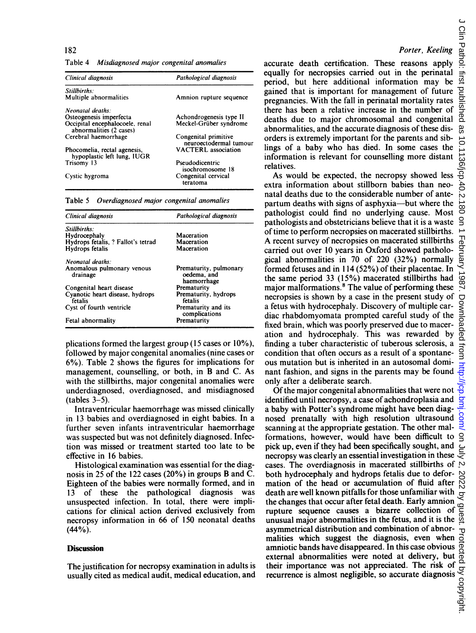Table 4 Misdiagnosed major congenital anomalies

| Clinical diagnosis                                          | Pathological diagnosis                         |  |
|-------------------------------------------------------------|------------------------------------------------|--|
| Stillbirths:                                                |                                                |  |
| Multiple abnormalities                                      | Amnion rupture sequence                        |  |
| Neonatal deaths:                                            |                                                |  |
| Osteogenesis imperfecta                                     | Achondrogenesis type II                        |  |
| Occipital encephalocoele, renal<br>abnormalities (2 cases)  | Meckel-Grüber syndrome                         |  |
| Cerebral haemorrhage                                        | Congenital primitive<br>neuroectodermal tumour |  |
| Phocomelia, rectal agenesis,<br>hypoplastic left lung, IUGR | <b>VACTERL</b> association                     |  |
| Trisomy 13                                                  | Pseudodicentric<br>isochromosome 18            |  |
| Cystic hygroma                                              | Congenital cervical<br>teratoma                |  |

Table 5 Overdiagnosed major congenital anomalies

| Clinical diagnosis                         | Pathological diagnosis                               |  |
|--------------------------------------------|------------------------------------------------------|--|
| Stillbirths:                               |                                                      |  |
| Hydrocephaly                               | Maceration                                           |  |
| Hydrops fetalis, ? Fallot's tetrad         | Maceration                                           |  |
| Hydrops fetalis                            | Maceration                                           |  |
| Neonatal deaths:                           |                                                      |  |
| Anomalous pulmonary venous<br>drainage     | Prematurity, pulmonary<br>oedema, and<br>haemorrhage |  |
| Congenital heart disease                   | Prematurity                                          |  |
| Cyanotic heart disease, hydrops<br>fetalis | Prematurity, hydrops<br>fetalis                      |  |
| Cyst of fourth ventricle                   | Prematurity and its<br>complications                 |  |
| Fetal abnormality                          | Prematurity                                          |  |

plications formed the largest group (15 cases or 10%), followed by major congenital anomalies (nine cases or 6%). Table 2 shows the figures for implications for management, counselling, or both, in B and C. As with the stillbirths, major congenital anomalies were underdiagnosed, overdiagnosed, and misdiagnosed  $(tables 3-5)$ .

Intraventricular haemorrhage was missed clinically in 13 babies and overdiagnosed in eight babies. In a further seven infants intraventricular haemorrhage was suspected but was not definitely diagnosed. Infection was missed or treatment started too late to be effective in 16 babies.

Histological examination was essential for the diagnosis in 25 of the 122 cases (20%) in groups B and C. Eighteen of the babies were normally formed, and in 13 of these the pathological diagnosis was unsuspected infection. In total, there were implications for clinical action derived exclusively from necropsy information in 66 of 1SQ neonatal deaths  $(44\%)$ .

#### **Discussion**

The justification for necropsy examination in adults is usually cited as medical audit, medical education, and

# Porter, Keeling

accurate death certification. These reasons apply equally for necropsies carried out in the perinatal period, but here additional information may be gained that is important for management of future pregnancies. With the fall in perinatal mortality rates there has been a relative increase in the number of deaths due to major chromosomal and congenital abnormalities, and the accurate diagnosis of these disorders is extremely important for the parents and siblings of a baby who has died. In some cases the information is relevant for counselling more distant relatives.

As would be expected, the necropsy showed less extra information about stillborn babies than neonatal deaths due to the considerable number of antepartum deaths with signs of asphyxia-but where the pathologist could find no underlying cause. Most pathologists and obstetricians believe that it is a waste of time to perform necropsies on macerated stillbirths. A recent survey of necropsies on macerated stillbirths carried out over 10 years in Oxford showed pathological abnormalities in 70 of 220 (32%) normally formed fetuses and in 114 (52%) of their placentae. In the same period 33 (15%) macerated stillbirths had major malformations.<sup>8</sup> The value of performing these necropsies is shown by a case in the present study of a fetus with hydrocephaly. Discovery of multiple cardiac rhabdomyomata prompted careful study of the fixed brain, which was poorly preserved due to maceration and hydrocephaly. This was rewarded by finding a tuber characteristic of tuberous sclerosis, a condition that often occurs as a result of a spontaneous mutation but is inherited in an autosomal dominant fashion, and signs in the parents may be found only after a deliberate search.

Of the major congenital abnormalities that were not identified until necropsy, a case of achondroplasia and a baby with Potter's syndrome might have been diagnosed prenatally with high resolution ultrasound scanning at the appropriate gestation. The other malformations, however, would have been difficult to pick up, even if they had been specifically sought, and necropsy was clearly an essential investigation in these cases. The overdiagnosis in macerated stillbirths of  $\mathcal{D}$ both hydrocephaly and hydrops fetalis due to deformation of the head or accumulation of fluid after death are well known pitfalls for those unfamiliar with the changes that occur after fetal death. Early amnion rupture sequence causes a bizarre collection of a<br>unusual major abnormalities in the fetus, and it is the  $\frac{65}{11}$ unusual major abnormalities in the fetus, and it is the asymmetrical distribution and combination of abnormalities which suggest the diagnosis, even when amniotic bands have disappeared. In this case obvious external abnormalities were noted at delivery, but asymmetrical distribution and combination of abnor-<br>malities which suggest the diagnosis, even when  $\frac{1}{100}$ <br>amniotic bands have disappeared. In this case obvious  $\frac{1}{100}$ <br>external abnormalities were noted at delive recurrence is almost negligible, so accurate diagnosis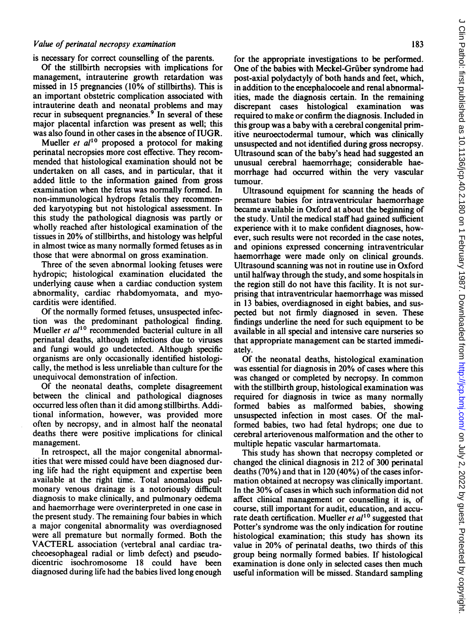#### Value of perinatal necropsy examination

is necessary for correct counselling of the parents.

Of the stillbirth necropsies with implications for management, intrauterine growth retardation was missed in 15 pregnancies (10% of stillbirths). This is an important obstetric complication associated with intrauterine death and neonatal problems and may recur in subsequent pregnancies.<sup>9</sup> In several of these major placental infarction was present as well; this was also found in other cases in the absence of IUGR.

Mueller et  $al^{10}$  proposed a protocol for making perinatal necropsies more cost effective. They recommended that histological examination should not be undertaken on all cases, and in particular, that it added little to the information gained from gross examination when the fetus was normally formed. In non-immunological hydrops fetalis they recommended karyotyping but not histological assessment. In this study the pathological diagnosis was partly or wholly reached after histological examination of the tissues in 20% of stillbirths, and histology was helpful in almost twice as many normally formed fetuses as in those that were abnormal on gross examination.

Three of the seven abnormal looking fetuses were hydropic; histological examination elucidated the underlying cause when a cardiac conduction system abnormality, cardiac rhabdomyomata, and myocarditis were identified.

Of the normally formed fetuses, unsuspected infection was the predominant pathological finding. Mueller et  $al^{10}$  recommended bacterial culture in all perinatal deaths, although infections due to viruses and fungi would go undetected. Although specific organisms are only occasionally identified histologically, the method is less unreliable than culture for the unequivocal demonstration of infection.

Of the neonatal deaths, complete disagreement between the clinical and pathological diagnoses occurred less often than it did among stillbirths. Additional information, however, was provided more often by necropsy, and in almost half the neonatal deaths there were positive implications for clinical management.

In retrospect, all the major congenital abnormalities that were missed could have been diagnosed during life had the right equipment and expertise been available at the right time. Total anomalous pulmonary venous drainage is a notoriously difficult diagnosis to make clinically, and pulmonary oedema and haemorrhage were overinterpreted in one case in the present study. The remaining four babies in which a major congenital abnormality was overdiagnosed were all premature but normally formed. Both the VACTERL association (vertebral anal cardiac tracheoesophageal radial or limb defect) and pseudodicentric isochromosome 18 could have been diagnosed during life had the babies lived long enough for the appropriate investigations to be performed. One of the babies with Meckel-Grüber syndrome had post-axial polydactyly of both hands and feet, which, in addition to the encephalocoele and renal abnormalities, made the diagnosis certain. In the remaining discrepant cases histological examination was required to make or confirm the diagnosis. Included in this group was a baby with a cerebral congenital primitive neuroectodermal tumour, which was clinically unsuspected and not identified during gross necropsy. Ultrasound scan of the baby's head had suggested an unusual cerebral haemorrhage; considerable haemorrhage had occurred within the very vascular tumour.

Ultrasound equipment for scanning the heads of premature babies for intraventricular haemorrhage became available in Oxford at about the beginning of the study. Until the medical staff had gained sufficient experience with it to make confident diagnoses, however, such results were not recorded in the case notes, and opinions expressed concerning intraventricular haemorrhage were made only on clinical grounds. Ultrasound scanning was not in routine use in Oxford until halfway through the study, and some hospitals in the region still do not have this facility. It is not surprising that intraventricular haemorrhage was missed in 13 babies, overdiagnosed in eight babies, and suspected but not firmly diagnosed in seven. These findings underline the need for such equipment to be available in all special and intensive care nurseries so that appropriate management can be started immediately.

Of the neonatal deaths, histological examination was essential for diagnosis in 20% of cases where this was changed or completed by necropsy. In common with the stillbirth group, histological examination was required for diagnosis in twice as many normally formed babies as malformed babies, showing unsuspected infection in most cases. Of the malformed babies, two had fetal hydrops; one due to cerebral arteriovenous malformation and the other to multiple hepatic vascular harmartomata.

This study has shown that necropsy completed or changed the clinical diagnosis in 212 of 300 perinatal deaths (70%) and that in 120 (40%) of the cases information obtained at necropsy was clinically important. In the 30% of cases in which such information did not affect clinical management or counselling it is, of course, still important for audit, education, and accurate death certification. Mueller *et al*<sup>10</sup> suggested that Potter's syndrome was the only indication for routine histological examination; this study has shown its value in 20% of perinatal deaths, two thirds of this group being normally formed babies. If histological examination is done only in selected cases then much useful information will be missed. Standard sampling